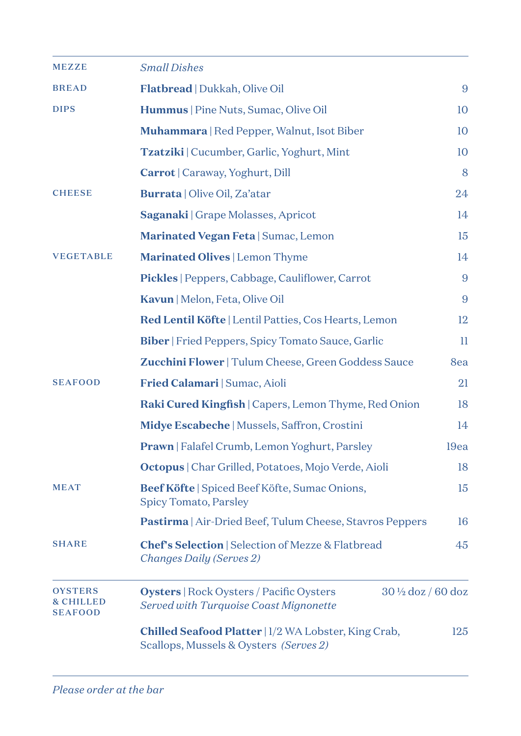| <b>MEZZE</b>                                             | <b>Small Dishes</b>                                                                                       |      |
|----------------------------------------------------------|-----------------------------------------------------------------------------------------------------------|------|
| <b>BREAD</b>                                             | Flatbread   Dukkah, Olive Oil                                                                             | 9    |
| <b>DIPS</b>                                              | Hummus   Pine Nuts, Sumac, Olive Oil                                                                      | 10   |
|                                                          | Muhammara   Red Pepper, Walnut, Isot Biber                                                                | 10   |
|                                                          | Tzatziki   Cucumber, Garlic, Yoghurt, Mint                                                                | 10   |
|                                                          | Carrot   Caraway, Yoghurt, Dill                                                                           | 8    |
| <b>CHEESE</b>                                            | <b>Burrata</b>   Olive Oil, Za'atar                                                                       | 24   |
|                                                          | <b>Saganaki</b>   Grape Molasses, Apricot                                                                 | 14   |
|                                                          | Marinated Vegan Feta   Sumac, Lemon                                                                       | 15   |
| <b>VEGETABLE</b>                                         | Marinated Olives   Lemon Thyme                                                                            | 14   |
|                                                          | Pickles   Peppers, Cabbage, Cauliflower, Carrot                                                           | 9    |
|                                                          | Kavun   Melon, Feta, Olive Oil                                                                            | 9    |
|                                                          | Red Lentil Köfte   Lentil Patties, Cos Hearts, Lemon                                                      | 12   |
|                                                          | Biber   Fried Peppers, Spicy Tomato Sauce, Garlic                                                         | П    |
|                                                          | Zucchini Flower   Tulum Cheese, Green Goddess Sauce                                                       | 8ea  |
| <b>SEAFOOD</b>                                           | Fried Calamari   Sumac, Aioli                                                                             | 21   |
|                                                          | Raki Cured Kingfish   Capers, Lemon Thyme, Red Onion                                                      | 18   |
|                                                          | Midye Escabeche   Mussels, Saffron, Crostini                                                              | 14   |
|                                                          | Prawn   Falafel Crumb, Lemon Yoghurt, Parsley                                                             | 19ea |
|                                                          | Octopus   Char Grilled, Potatoes, Mojo Verde, Aioli                                                       | 18   |
| <b>MEAT</b>                                              | Beef Köfte   Spiced Beef Köfte, Sumac Onions,<br>Spicy Tomato, Parsley                                    | 15   |
|                                                          | Pastirma   Air-Dried Beef, Tulum Cheese, Stavros Peppers                                                  | 16   |
| <b>SHARE</b>                                             | <b>Chef's Selection</b>   Selection of Mezze & Flatbread<br>Changes Daily (Serves 2)                      | 45   |
| <b>OYSTERS</b><br><b>&amp; CHILLED</b><br><b>SEAFOOD</b> | Oysters   Rock Oysters / Pacific Oysters<br>30 1/2 doz / 60 doz<br>Served with Turquoise Coast Mignonette |      |
|                                                          | Chilled Seafood Platter   1/2 WA Lobster, King Crab,<br>Scallops, Mussels & Oysters (Serves 2)            | 125  |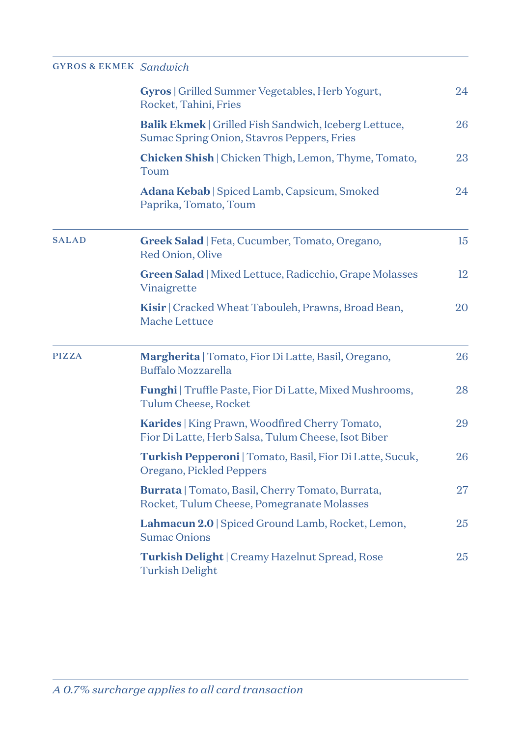## GY ROS & EK MEK *Sandwich*

|              | <b>Gyros</b>   Grilled Summer Vegetables, Herb Yogurt,<br>Rocket, Tahini, Fries                            | 24 |
|--------------|------------------------------------------------------------------------------------------------------------|----|
|              | <b>Balik Ekmek</b>   Grilled Fish Sandwich, Iceberg Lettuce,<br>Sumac Spring Onion, Stavros Peppers, Fries | 26 |
|              | <b>Chicken Shish</b>   Chicken Thigh, Lemon, Thyme, Tomato,<br>Toum                                        | 23 |
|              | Adana Kebab   Spiced Lamb, Capsicum, Smoked<br>Paprika, Tomato, Toum                                       | 24 |
| <b>SALAD</b> | Greek Salad   Feta, Cucumber, Tomato, Oregano,<br>Red Onion, Olive                                         | 15 |
|              | Green Salad   Mixed Lettuce, Radicchio, Grape Molasses<br>Vinaigrette                                      | 12 |
|              | Kisir   Cracked Wheat Tabouleh, Prawns, Broad Bean,<br>Mache Lettuce                                       | 20 |
| <b>PIZZA</b> | Margherita   Tomato, Fior Di Latte, Basil, Oregano,<br>Buffalo Mozzarella                                  | 26 |
|              | Funghi   Truffle Paste, Fior Di Latte, Mixed Mushrooms,<br>Tulum Cheese, Rocket                            | 28 |
|              | Karides   King Prawn, Woodfired Cherry Tomato,<br>Fior Di Latte, Herb Salsa, Tulum Cheese, Isot Biber      | 29 |
|              | Turkish Pepperoni   Tomato, Basil, Fior Di Latte, Sucuk,<br>Oregano, Pickled Peppers                       | 26 |
|              | <b>Burrata</b>   Tomato, Basil, Cherry Tomato, Burrata,<br>Rocket, Tulum Cheese, Pomegranate Molasses      | 27 |
|              | Lahmacun 2.0   Spiced Ground Lamb, Rocket, Lemon,<br><b>Sumac Onions</b>                                   | 25 |
|              | Turkish Delight   Creamy Hazelnut Spread, Rose<br><b>Turkish Delight</b>                                   | 25 |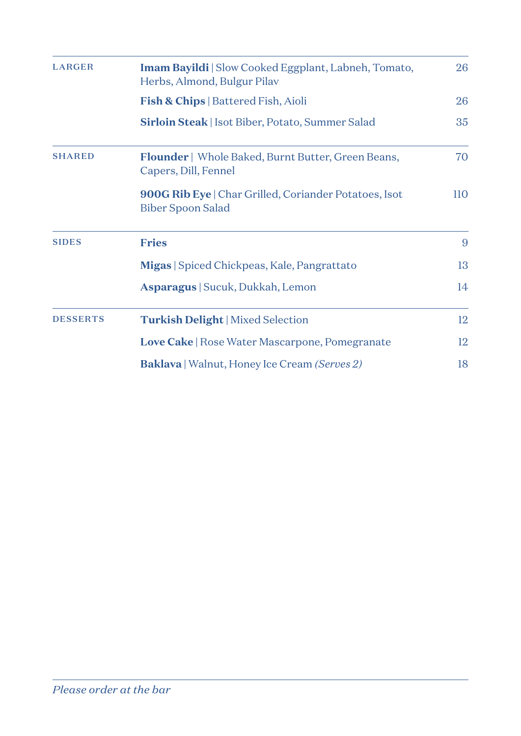| <b>LARGER</b>   | <b>Imam Bayildi</b>   Slow Cooked Eggplant, Labneh, Tomato,<br>Herbs, Almond, Bulgur Pilav |     |
|-----------------|--------------------------------------------------------------------------------------------|-----|
|                 | Fish & Chips   Battered Fish, Aioli                                                        | 26  |
|                 | <b>Sirloin Steak</b>   Isot Biber, Potato, Summer Salad                                    | 35  |
| <b>SHARED</b>   | <b>Flounder</b>   Whole Baked, Burnt Butter, Green Beans,<br>Capers, Dill, Fennel          | 70  |
|                 | 900G Rib Eye   Char Grilled, Coriander Potatoes, Isot<br>Biber Spoon Salad                 | 110 |
| <b>SIDES</b>    | <b>Fries</b>                                                                               | 9   |
|                 | Migas Spiced Chickpeas, Kale, Pangrattato                                                  | 13  |
|                 | Asparagus   Sucuk, Dukkah, Lemon                                                           | 14  |
| <b>DESSERTS</b> | <b>Turkish Delight</b>   Mixed Selection                                                   | 12  |
|                 | Love Cake   Rose Water Mascarpone, Pomegranate                                             | 12  |
|                 | <b>Baklava</b>   Walnut, Honey Ice Cream <i>(Serves 2)</i>                                 | 18  |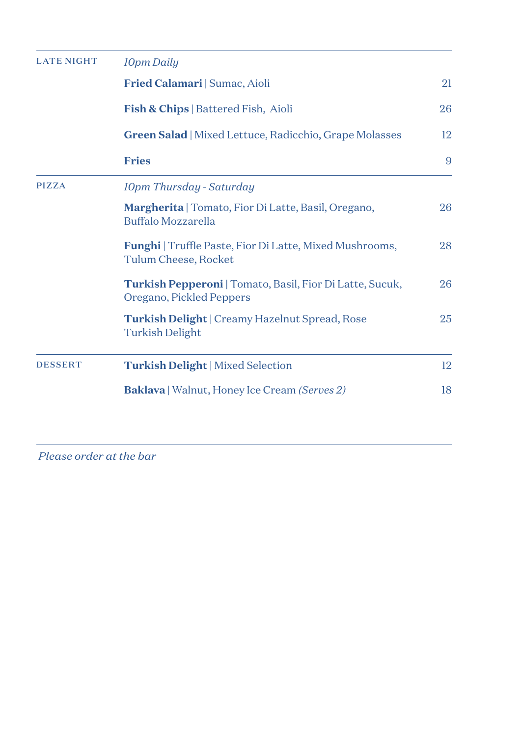| <b>LATE NIGHT</b> | <b>10pm Daily</b>                                                                      |    |
|-------------------|----------------------------------------------------------------------------------------|----|
|                   | Fried Calamari   Sumac, Aioli                                                          | 21 |
|                   | <b>Fish &amp; Chips</b>   Battered Fish, Aioli                                         | 26 |
|                   | <b>Green Salad</b>   Mixed Lettuce, Radicchio, Grape Molasses                          | 12 |
|                   | <b>Fries</b>                                                                           | 9  |
| <b>PIZZA</b>      | 10pm Thursday - Saturday                                                               |    |
|                   | Margherita   Tomato, Fior Di Latte, Basil, Oregano,<br>Buffalo Mozzarella              | 26 |
|                   | <b>Funghi</b>   Truffle Paste, Fior Di Latte, Mixed Mushrooms,<br>Tulum Cheese, Rocket | 28 |
|                   | Turkish Pepperoni   Tomato, Basil, Fior Di Latte, Sucuk,<br>Oregano, Pickled Peppers   | 26 |
|                   | <b>Turkish Delight</b>   Creamy Hazelnut Spread, Rose<br><b>Turkish Delight</b>        | 25 |
| <b>DESSERT</b>    | <b>Turkish Delight</b>   Mixed Selection                                               | 12 |
|                   | <b>Baklava</b>   Walnut, Honey Ice Cream <i>(Serves 2)</i>                             | 18 |

*Please order at the bar*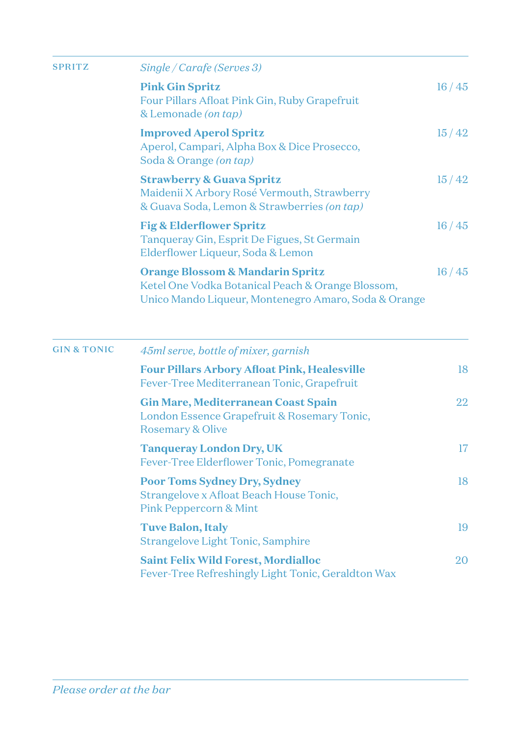| <b>SPRITZ</b>          | Single / Carafe (Serves 3)                                                                                                                               |       |
|------------------------|----------------------------------------------------------------------------------------------------------------------------------------------------------|-------|
|                        | <b>Pink Gin Spritz</b><br>Four Pillars Afloat Pink Gin, Ruby Grapefruit<br>& Lemonade (on tap)                                                           | 16/45 |
|                        | <b>Improved Aperol Spritz</b><br>Aperol, Campari, Alpha Box & Dice Prosecco,<br>Soda & Orange (on tap)                                                   | 15/42 |
|                        | <b>Strawberry &amp; Guava Spritz</b><br>Maidenii X Arbory Rosé Vermouth, Strawberry<br>& Guava Soda, Lemon & Strawberries (on tap)                       | 15/42 |
|                        | <b>Fig &amp; Elderflower Spritz</b><br>Tanqueray Gin, Esprit De Figues, St Germain<br>Elderflower Liqueur, Soda & Lemon                                  | 16/45 |
|                        | <b>Orange Blossom &amp; Mandarin Spritz</b><br>Ketel One Vodka Botanical Peach & Orange Blossom,<br>Unico Mando Liqueur, Montenegro Amaro, Soda & Orange | 16/45 |
| <b>GIN &amp; TONIC</b> | 45ml serve, bottle of mixer, garnish                                                                                                                     |       |
|                        | <b>Four Pillars Arbory Afloat Pink, Healesville</b><br>Fever-Tree Mediterranean Tonic, Grapefruit                                                        | 18    |
|                        | <b>Gin Mare, Mediterranean Coast Spain</b><br>London Essence Grapefruit & Rosemary Tonic,<br><b>Rosemary &amp; Olive</b>                                 | 22    |
|                        | <b>Tanqueray London Dry, UK</b><br>Fever-Tree Elderflower Tonic, Pomegranate                                                                             | 17    |
|                        | <b>Poor Toms Sydney Dry, Sydney</b><br>Strangelove x Afloat Beach House Tonic,<br><b>Pink Peppercorn &amp; Mint</b>                                      | 18    |
|                        | <b>Tuve Balon, Italy</b><br><b>Strangelove Light Tonic, Samphire</b>                                                                                     | 19    |
|                        | <b>Saint Felix Wild Forest, Mordialloc</b><br>Fever-Tree Refreshingly Light Tonic, Geraldton Wax                                                         | 20    |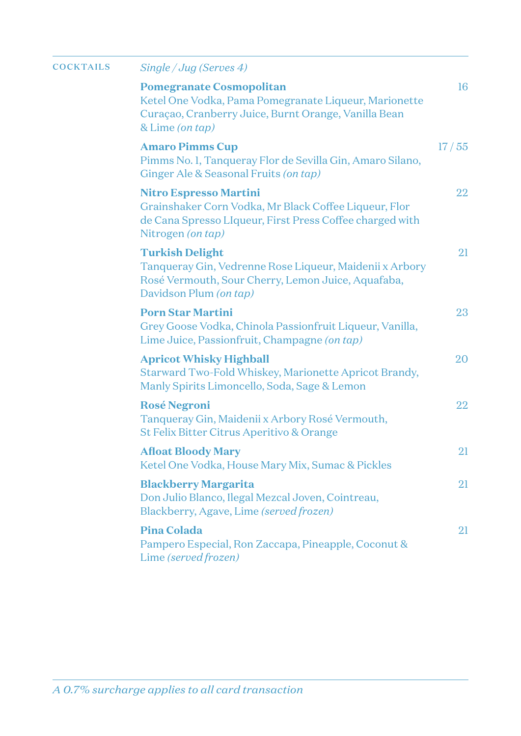| <b>COCKTAILS</b> | Single/Jug(Serves 4)                                                                                                                                                    |       |
|------------------|-------------------------------------------------------------------------------------------------------------------------------------------------------------------------|-------|
|                  | <b>Pomegranate Cosmopolitan</b><br>Ketel One Vodka, Pama Pomegranate Liqueur, Marionette<br>Curaçao, Cranberry Juice, Burnt Orange, Vanilla Bean<br>& Lime (on tap)     | 16    |
|                  | <b>Amaro Pimms Cup</b><br>Pimms No. 1, Tanqueray Flor de Sevilla Gin, Amaro Silano,<br>Ginger Ale & Seasonal Fruits (on tap)                                            | 17/55 |
|                  | <b>Nitro Espresso Martini</b><br>Grainshaker Corn Vodka, Mr Black Coffee Liqueur, Flor<br>de Cana Spresso LIqueur, First Press Coffee charged with<br>Nitrogen (on tap) | 22    |
|                  | <b>Turkish Delight</b><br>Tanqueray Gin, Vedrenne Rose Liqueur, Maidenii x Arbory<br>Rosé Vermouth, Sour Cherry, Lemon Juice, Aquafaba,<br>Davidson Plum (on tap)       | 21    |
|                  | <b>Porn Star Martini</b><br>Grey Goose Vodka, Chinola Passionfruit Liqueur, Vanilla,<br>Lime Juice, Passionfruit, Champagne (on tap)                                    | 23    |
|                  | <b>Apricot Whisky Highball</b><br>Starward Two-Fold Whiskey, Marionette Apricot Brandy,<br>Manly Spirits Limoncello, Soda, Sage & Lemon                                 | 20    |
|                  | <b>Rosé Negroni</b><br>Tanqueray Gin, Maidenii x Arbory Rosé Vermouth,<br>St Felix Bitter Citrus Aperitivo & Orange                                                     | 22    |
|                  | <b>Afloat Bloody Mary</b><br>Ketel One Vodka, House Mary Mix, Sumac & Pickles                                                                                           | 21    |
|                  | <b>Blackberry Margarita</b><br>Don Julio Blanco, Ilegal Mezcal Joven, Cointreau,<br>Blackberry, Agave, Lime (served frozen)                                             | 21    |
|                  | Pina Colada<br>Pampero Especial, Ron Zaccapa, Pineapple, Coconut &<br>Lime (served frozen)                                                                              | 21    |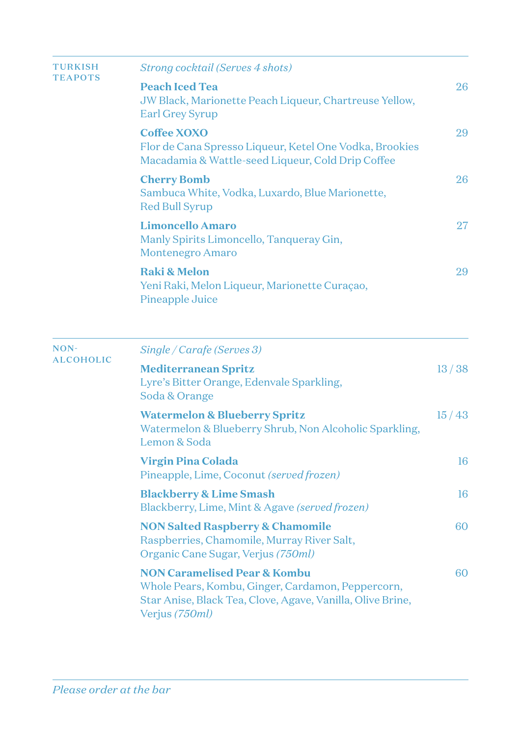| <b>TURKISH</b><br><b>TEAPOTS</b> | Strong cocktail (Serves 4 shots)                                                                                                |       |
|----------------------------------|---------------------------------------------------------------------------------------------------------------------------------|-------|
|                                  | <b>Peach Iced Tea</b><br>JW Black, Marionette Peach Liqueur, Chartreuse Yellow,<br>Earl Grey Syrup                              | 26    |
|                                  | Coffee XOXO<br>Flor de Cana Spresso Liqueur, Ketel One Vodka, Brookies<br>Macadamia & Wattle-seed Liqueur, Cold Drip Coffee     | 29    |
|                                  | <b>Cherry Bomb</b><br>Sambuca White, Vodka, Luxardo, Blue Marionette,<br><b>Red Bull Syrup</b>                                  | 26    |
|                                  | <b>Limoncello Amaro</b><br>Manly Spirits Limoncello, Tanqueray Gin,<br><b>Montenegro Amaro</b>                                  | 27    |
|                                  | <b>Raki &amp; Melon</b><br>Yeni Raki, Melon Liqueur, Marionette Curaçao,<br>Pineapple Juice                                     | 29    |
| NON-                             | Single / Carafe (Serves 3)                                                                                                      |       |
| <b>ALCOHOLIC</b>                 | <b>Mediterranean Spritz</b><br>Lyre's Bitter Orange, Edenvale Sparkling,<br>Soda & Orange                                       | 13/38 |
|                                  | <b>Watermelon &amp; Blueberry Spritz</b><br>Watermelon & Blueberry Shrub, Non Alcoholic Sparkling,<br>Lemon & Soda              | 15/43 |
|                                  | <b>Virgin Pina Colada</b><br>Pineapple, Lime, Coconut (served frozen)                                                           | 16    |
|                                  | <b>Blackberry &amp; Lime Smash</b><br>Blackberry, Lime, Mint & Agave (served frozen)                                            | 16    |
|                                  | <b>NON Salted Raspberry &amp; Chamomile</b><br>Raspberries, Chamomile, Murray River Salt,<br>Organic Cane Sugar, Verjus (750ml) | 60    |
|                                  | <b>NON Caramelised Pear &amp; Kombu</b><br>Whole Pears, Kombu, Ginger, Cardamon, Peppercorn,                                    | 60    |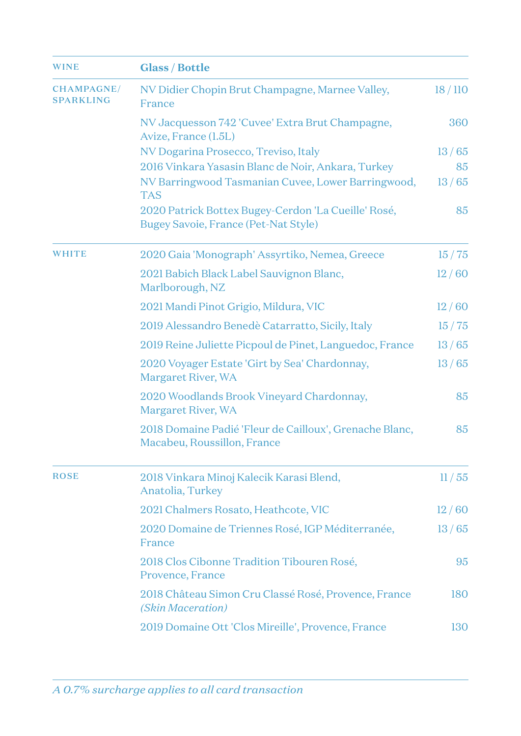| <b>WINE</b>                           | <b>Glass / Bottle</b>                                                                              |        |
|---------------------------------------|----------------------------------------------------------------------------------------------------|--------|
| <b>CHAMPAGNE/</b><br><b>SPARKLING</b> | NV Didier Chopin Brut Champagne, Marnee Valley,<br>France                                          | 18/110 |
|                                       | NV Jacquesson 742 'Cuvee' Extra Brut Champagne,<br>Avize, France (1.5L)                            | 360    |
|                                       | NV Dogarina Prosecco, Treviso, Italy                                                               | 13/65  |
|                                       | 2016 Vinkara Yasasin Blanc de Noir, Ankara, Turkey                                                 | 85     |
|                                       | NV Barringwood Tasmanian Cuvee, Lower Barringwood,<br><b>TAS</b>                                   | 13/65  |
|                                       | 2020 Patrick Bottex Bugey-Cerdon 'La Cueille' Rosé,<br><b>Bugey Savoie, France (Pet-Nat Style)</b> | 85     |
| <b>WHITE</b>                          | 2020 Gaia 'Monograph' Assyrtiko, Nemea, Greece                                                     | 15/75  |
|                                       | 2021 Babich Black Label Sauvignon Blanc,<br>Marlborough, NZ                                        | 12/60  |
|                                       | 2021 Mandi Pinot Grigio, Mildura, VIC                                                              | 12/60  |
|                                       | 2019 Alessandro Benedè Catarratto, Sicily, Italy                                                   | 15/75  |
|                                       | 2019 Reine Juliette Picpoul de Pinet, Languedoc, France                                            | 13/65  |
|                                       | 2020 Voyager Estate 'Girt by Sea' Chardonnay,<br>Margaret River, WA                                | 13/65  |
|                                       | 2020 Woodlands Brook Vineyard Chardonnay,<br>Margaret River, WA                                    | 85     |
|                                       | 2018 Domaine Padié 'Fleur de Cailloux', Grenache Blanc,<br>Macabeu, Roussillon, France             | 85     |
| <b>ROSE</b>                           | 2018 Vinkara Minoj Kalecik Karasi Blend,<br>Anatolia, Turkey                                       | 11/55  |
|                                       | 2021 Chalmers Rosato, Heathcote, VIC                                                               | 12/60  |
|                                       | 2020 Domaine de Triennes Rosé, IGP Méditerranée,<br>France                                         | 13/65  |
|                                       | 2018 Clos Cibonne Tradition Tibouren Rosé,<br>Provence, France                                     | 95     |
|                                       | 2018 Château Simon Cru Classé Rosé, Provence, France<br>(Skin Maceration)                          | 180    |
|                                       | 2019 Domaine Ott 'Clos Mireille', Provence, France                                                 | 130    |
|                                       |                                                                                                    |        |